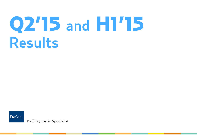# Q2'15 and H1'15 Results

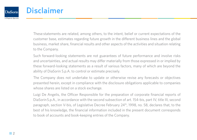

### Disclaimer

These statements are related, among others, to the intent, belief or current expectations of the customer base, estimates regarding future growth in the different business lines and the global business, market share, financial results and other aspects of the activities and situation relating to the Company.

Such forward-looking statements are not guarantees of future performance and involve risks and uncertainties, and actual results may differ materially from those expressed in or implied by these forward-looking statements as a result of various factors, many of which are beyond the ability of DiaSorin S.p.A. to control or estimate precisely.

The Company does not undertake to update or otherwise revise any forecasts or objectives presented herein, except in compliance with the disclosure obligations applicable to companies whose shares are listed on a stock exchange.

Luigi De Angelis, the Officer Responsible for the preparation of corporate financial reports of DiaSorin S.p.A., in accordance with the second subsection of art. 154-bis, part IV, title III, second paragraph, section V-bis, of Legislative Decree February 24th, 1998, no. 58, declares that, to the best of his knowledge, the financial information included in the present document corresponds to book of accounts and book-keeping entries of the Company.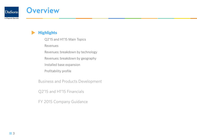

## **Overview**

**Highlights**

Q2'15 and H1'15 Main Topics

Revenues

Revenues: breakdown by technology

Revenues: breakdown by geography

Installed base expansion

Profitability profile

Business and Products Development

Q2'15 and H1'15 Financials

FY 2015 Company Guidance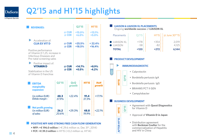#### Q2'15 and H1'15 highlights DiaSorin

The Diagnostic Specialist

| <b>REVENUES:</b>                                                                                                                    |       |                      | <b>Q2'15</b>        |                      | <b>LIAISON &amp; LIAISON XL PLACEMENTS</b><br><b>H1'15</b><br>Ongoing worldwide success of LIAISON XL                                  |                                                                                                                                    |  |  |
|-------------------------------------------------------------------------------------------------------------------------------------|-------|----------------------|---------------------|----------------------|----------------------------------------------------------------------------------------------------------------------------------------|------------------------------------------------------------------------------------------------------------------------------------|--|--|
|                                                                                                                                     |       | @ CUR<br>@ CER       | $+15.0%$<br>$+6.0%$ |                      | $+13.1%$<br>$+5.0%$                                                                                                                    | $Q2'15$ : :<br>$H1'15$ : $\vdots$ @ June 30 <sup>th'15</sup> :<br>Placements                                                       |  |  |
| Acceleration of:<br><b>CLIA EX VIT D</b><br>@ CUR<br>@ CER                                                                          |       | $+25.5%$<br>$+18.5%$ |                     | $+22.4%$<br>$+16.4%$ | <b>LIAISON XL</b><br>$+178:$<br>$+354$<br>2,019:<br>$-58$<br>$-82$<br>LIAISON<br>4,125<br><b>TOTAL</b><br>$+272:$<br>6,144:<br>$+120:$ |                                                                                                                                    |  |  |
| Positive performance<br>of Vitamin D 1,25, increase in<br>Infectious Diseases and<br>Pre-natal screening sales                      |       |                      |                     |                      |                                                                                                                                        | <b>PRODUCT DEVELOPMENT</b>                                                                                                         |  |  |
| Positive impact of:<br><b>VITAMIND</b><br>@ CUR                                                                                     |       |                      | $+14.7%$            |                      | +8.9%                                                                                                                                  | <b>IMMUNODIAGNOSTIC</b>                                                                                                            |  |  |
| @ CER<br>Stabilization in the US<br>of Vitamin D franchise                                                                          |       | $+0.5%$<br>$-4.2%$   |                     |                      | $\begin{array}{c}\n\circ \\ \circ \\ \circ\n\end{array}$<br>• Calprotectin                                                             |                                                                                                                                    |  |  |
|                                                                                                                                     |       |                      |                     |                      |                                                                                                                                        | <b>Q1'15</b><br>· Bordetella pertussis IgA                                                                                         |  |  |
| <b>Q2'15</b><br><b>EBITDA</b>                                                                                                       |       | QoO<br>growth        |                     | H1'15<br><b>HoH</b>  |                                                                                                                                        | • Bordetella pertussis IgG                                                                                                         |  |  |
| marginality<br>expansion                                                                                                            |       |                      |                     |                      | growth                                                                                                                                 | • BRAHMS PCT II GEN                                                                                                                |  |  |
| (in million EUR)                                                                                                                    | 48.3  |                      | $+22.4%$            | 91.4                 | $+17.1%$                                                                                                                               | • Campylobacter                                                                                                                    |  |  |
| Ebitda margin:                                                                                                                      | 37.9% |                      |                     | 37.3%                |                                                                                                                                        | <b>BUSINESS DEVELOPMENT</b>                                                                                                        |  |  |
| <b>Net profit growing</b><br>(in million EUR)                                                                                       | 26.2  |                      | $+29.3%$            | 48.8                 | $+22.1%$                                                                                                                               | • Agreement with Quest Diagnostics<br>for Vitamin D<br>H1'15<br>                                                                   |  |  |
| of sales:                                                                                                                           | 20.6% |                      |                     | 19.9%                |                                                                                                                                        | • Approval of Vitamin D in Japan                                                                                                   |  |  |
| <b>POSITIVE NFP AND STRONG FREE CASH FLOW GENERATION</b><br>• NFP: $+ \in 196.0$ million ( $+ \in 29.6$ million vs. Dec 31st, 2014) |       |                      |                     |                      |                                                                                                                                        | • Distribution agreement<br>with <b>Beckman Coulter</b> for the<br><b>FTER</b><br>commercialization of Hepatitis<br>$\blacksquare$ |  |  |

 and HIV in China

**A**

**• NFP: +€ 196.0 million** (+€ 29.6 million vs. Dec 31<sup>st</sup>, 2014) ■ **FCF: +€ 39.3 million** in H1'15 (+0.2 million vs. H1'14)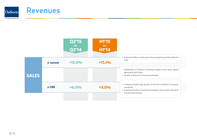

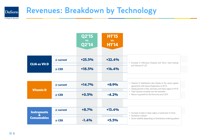#### Revenues: Breakdown by Technology **DiaSorin**

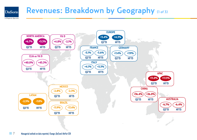#### Revenues: Breakdown by Geography (1 of 3) **DiaSorin**



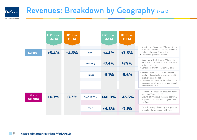#### Revenues: Breakdown by Geography (2 of 3) **DiaSorin**

|                                | Q2'15 vs.<br>Q2'14 | <b>HI'15 vs.</b><br>H1'14 |               | <b>Q2'15 vs.</b><br>Q2'14 | <b>HI'15 vs.</b><br>H1'14 |                                                                                                                                                                                                                |
|--------------------------------|--------------------|---------------------------|---------------|---------------------------|---------------------------|----------------------------------------------------------------------------------------------------------------------------------------------------------------------------------------------------------------|
| <b>Europe</b>                  | $+5.4%$            | $+4.3%$                   | Italy         | $+4.1%$                   | $+3.5%$                   | . Growth of CLIA ex Vitamin D, in<br>particular Infectious Disease, Hepatitis,<br>Endocrinology and Stool testing<br>• Continuous growth of Vitamin D                                                          |
|                                |                    |                           | Germany       | $+7.4%$                   | $+7.9%$                   | • Steady growth of CLIA ex Vitamin D, in<br>particular of Vitamin D 1,25 and Stool<br>testing products<br>• Continuous growth of Vitamin D sales                                                               |
|                                |                    |                           | France        | $-5.1%$                   | $-5.6%$                   | . Positive trend of CLIA ex Vitamin D<br>products, in particular when compared to<br>local reference market<br>. Decrease of Vitamin D sales as a<br>consequence of public reimbursement<br>codes cuts in 2014 |
| <b>North</b><br><b>America</b> | $+6.7%$            | $+3.3%$                   | CLIA ex Vit D | $+40.0%$                  | $+45.3%$                  | . Increase of specialty products sales,<br>including Vitamin D 1,25<br>• Growth of Infectious Diseases positively<br>impacted by the deal signed with<br>LabCorp                                               |
|                                |                    |                           | Vit D         | $+4.8%$                   | $-2.1%$                   | . Growth mainly driven by the positive<br>impact of the agreement with Quest                                                                                                                                   |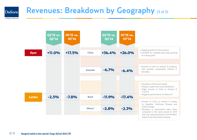#### Revenues: Breakdown by Geography (3 of 3) **DiaSorin**

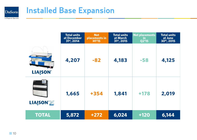

# Installed Base Expansion

|                 | <b>Total units</b><br>at December<br>$31^{st}$ , 2014 | <b>Net</b><br>placements in<br><b>H1'15</b> | <b>Total units</b><br>at March<br>31 <sup>st</sup> , 2015 | <b>Net placements</b><br><u>in</u><br>Q2'15 | <b>Total units</b><br>at June<br>$30th$ , 2015 |
|-----------------|-------------------------------------------------------|---------------------------------------------|-----------------------------------------------------------|---------------------------------------------|------------------------------------------------|
| <b>LIAISON®</b> | 4,207                                                 | $-82$                                       | 4,183                                                     | $-58$                                       | 4,125                                          |
| <b>LIAISON®</b> | 1,665                                                 | +354                                        | 1,841                                                     | $+178$                                      | 2,019                                          |
| <b>TOTAL</b>    | 5,872                                                 | $+272$                                      | 6,024                                                     | $+120$                                      | 6,144                                          |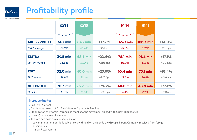

# Profitability profile

The Diagnostic Specialist

|                      | <b>Q2'14</b>    | Q2'15      |            | <b>H1'14</b>    | <b>H1'15</b>    |            |
|----------------------|-----------------|------------|------------|-----------------|-----------------|------------|
|                      |                 |            |            |                 |                 |            |
| <b>GROSS PROFIT</b>  | <b>74.2 mln</b> | 87.3 mln   | $+17.7%$   | 145.9 mln       | 166.3 mln       | $+14.0%$   |
| <b>GROSS margin</b>  | 66.9%           | 68.4%      | $+150$ bps | 67.3%           | 67.9%           | $+50 bps$  |
| <b>EBITDA</b>        | <b>39.5 mln</b> | 48.3 mln   | $+22.4%$   | <b>78.1 mln</b> | $91.4$ mln      | $+17.1%$   |
| <b>EBITDA</b> margin | 35.6%           | 37.9%      | $+230$ bps | 36.0%           | 37.3%           | $+130$ bps |
| <b>EBIT</b>          | <b>32.0 mln</b> | 40.0 mln   | $+25.0%$   | 63.4 mln        | <b>75.1 mln</b> | $+18.4%$   |
| <b>EBIT</b> margin   | 28.9%           | 31.4%      | $+250$ bps | 29.2%           | 30.6%           | $+140$ bps |
| <b>NET PROFIT</b>    | $20.3$ mln      | $26.2$ mln | $+29.3%$   | 40.0 mln        | 48.8 mln        | $+22.1%$   |
| On sales             | 18.3%           | 20.6%      | $+230$ bps | 18.4%           | 19.9%           | $+160$ bps |

#### **Increase due to:**

- **Positive FX effect**
- • Continuous growth of CLIA ex Vitamin D products families
- Stabilization of Vitamin D franchise thanks to the agreement signed with Quest Diagnostics
- Lower Opex ratio on Revenues
- • Tax rate decrease as a consequence of
- Lower amount of non-deductible taxes withheld on dividends the Group's Parent Company received from foreign subsidiaries
- Italian Fiscal reform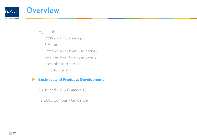

### **Overview**

**Highlights** 

Q2'15 and H1'15 Main Topics

Revenues

Revenues: breakdown by technology

Revenues: breakdown by geography

Installed base expansion

Profitability profile

#### **Business and Products Development**

Q2'15 and H1'15 Financials

FY 2015 Company Guidance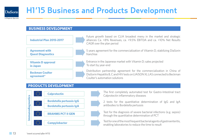

# H1'15 Business and Products Development

#### **Business Development**



#### **Products Development**



The first completely automated test for Gastro-Intestinal tract

- 2 tests for the quantitative determination of IgG and IgA antibodies to Bordetella pertussis
- Test for the diagnosis of severe bacterial infections (e.g. sepsis) **BRAHMS PCT II GEN BRAHMS PCT II GEN**

Test for one of the most frequent bacterial agents of gastroenteritis, **Campylobacter Campylobacter Campylobacter <b>Campylobacter Campylobacter <b>Campylobacter Campylobacter Campylobacter Campylobacter Campylobacter** 

13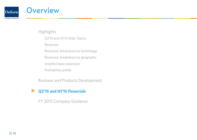

### **Overview**

**Highlights** 

Q2'15 and H1'15 Main Topics

Revenues

Revenues: breakdown by technology

Revenues: breakdown by geography

Installed base expansion

Profitability profile

Business and Products Development

#### **Q2'15 and H1'15 Financials**

FY 2015 Company Guidance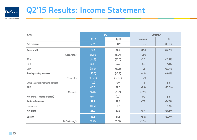

# Q2'15 Results: Income Statement

| $\epsilon$ /mln                   |         | Q2      | Change  |               |
|-----------------------------------|---------|---------|---------|---------------|
|                                   | 2015    | 2014    | amount  | $\frac{0}{0}$ |
| <b>Net revenues</b>               | 127.5   | 110.9   | $+16.6$ | $+15.0%$      |
| <b>Gross profit</b>               | 87.3    | 74.2    | $+13.1$ | $+17.7%$      |
| Gross margin                      | 68.4%   | 66.9%   | $+1.5%$ |               |
| <b>S&amp;M</b>                    | (24.8)  | (22.3)  | $-2.5$  | $+11.3%$      |
| R&D                               | (6.6)   | (6.4)   | $-0.2$  | $+2.8%$       |
| GδA                               | (13.8)  | (12.5)  | $-1.3$  | $+10.7%$      |
| <b>Total operating expenses</b>   | (45.3)  | (41.2)  | $-4.0$  | +9.8%         |
| % on sales                        | (35.5%) | (37.2%) | $+1.7%$ |               |
| Other operating income (expenses) | (1.9)   | (0.9)   | $-1.1$  | n.m           |
| <b>EBIT</b>                       | 40.0    | 32.0    | $+8.0$  | +25.0%        |
| <b>EBIT</b> margin                | 31.4%   | 28.9%   | $+2.5%$ |               |
| Net financial income (expense)    | (0.4)   | (0.1)   | $-0.3$  | n.m           |
| <b>Profit before taxes</b>        | 39.7    | 32.0    | $+7.7$  | $+24.1%$      |
| Income taxes                      | (13.5)  | (11.7)  | $-1.8$  | $+15.1%$      |
| Net profit                        | 26.2    | 20.3    | $+5.9$  | +29.3%        |
| <b>EBITDA</b>                     | 48.3    | 39.5    | $+8.8$  | $+22.4%$      |
| <b>EBITDA</b> margin              | 37.9%   | 35.6%   | $+2.3%$ |               |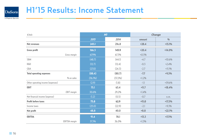

# H1'15 Results: Income Statement

| $\epsilon$ /mln                   |            | H1      | Change  |               |
|-----------------------------------|------------|---------|---------|---------------|
|                                   | 2015       | 2014    | amount  | $\frac{0}{0}$ |
| <b>Net revenues</b>               | 245.1      | 216.8   | $+28.4$ | $+13.1%$      |
| <b>Gross profit</b>               | 166.3      | 145.9   | $+20.4$ | $+14.0%$      |
| Gross margin                      | 67.9%      | 67.3%   | $+0.5%$ |               |
| <b>S&amp;M</b>                    | (48.7)     | (44.1)  | $-4.7$  | $+10.6%$      |
| R&D                               | (12.7)     | (12.4)  | $-0.3$  | $+2.4%$       |
| GδA                               | (27.0)     | (24.3)  | $-2.7$  | $+11.1%$      |
| <b>Total operating expenses</b>   | (88.4)     | (80.7)  | $-7.7$  | $+9.5%$       |
| % on sales                        | $(36.1\%)$ | (37.2%) | $+1.2%$ |               |
| Other operating income (expenses) | (2.9)      | (1.8)   | $-1.1$  | $+59.6%$      |
| <b>EBIT</b>                       | 75.1       | 63.4    | $+11.7$ | $+18.4%$      |
| <b>EBIT</b> margin                | 30.6%      | 29.2%   | $+1.4%$ |               |
| Net financial income (expense)    | (1.2)      | (0.5)   | $-0.7$  | n.m.          |
| <b>Profit before taxes</b>        | 73.8       | 62.9    | $+11.0$ | $+17.5%$      |
| Income taxes                      | (25.0)     | (22.9)  | $-2.1$  | $+9.3%$       |
| <b>Net profit</b>                 | 48.8       | 40.0    | $+8.8$  | $+22.1%$      |
| <b>EBITDA</b>                     | 91.4       | 78.1    | $+13.3$ | $+17.1%$      |
| <b>EBITDA</b> margin              | 37.3%      | 36.0%   | $+1.3%$ |               |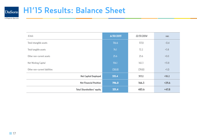

| $\epsilon$ /mln                   | 6/30/2015 | 12/31/2014 | var.    |
|-----------------------------------|-----------|------------|---------|
| Total intangible assets           | 116.6     | 117.0      | $-0.4$  |
| Total tangible assets             | 76.1      | 72.2       | $+3.8$  |
| Other non-current assets          | 25.6      | 25.6       | $+0.0$  |
| Net Working Capital               | 156.1     | 142.3      | $+13.8$ |
| Other non-current liabilities     | (38.8)    | (39.8)     | $+1.0$  |
| <b>Net Capital Employed</b>       | 335.4     | 317.2      | $+18.2$ |
| <b>Net Financial Position</b>     | 196.0     | 166.3      | $+29.6$ |
| <b>Total Shareholders' equity</b> | 531.4     | 483.6      | $+47.8$ |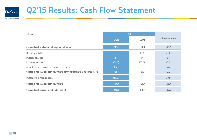

# Q2'15 Results: Cash Flow Statement

| E/m/n                                                                          | Q <sub>2</sub> |                          |                 |
|--------------------------------------------------------------------------------|----------------|--------------------------|-----------------|
|                                                                                | 2015           | 2014                     | Change in value |
| Cash and cash equivalents at beginning of period                               | 196.0          | 110.4                    | $+85.6$         |
| Operating activities                                                           | 21.5           | 18.2                     | $+3.3$          |
| Investing activities                                                           | (8.5)          | (6.9)                    | $-1.6$          |
| Financing activities                                                           | (36.0)         | (33.0)                   | $-3.0$          |
| Acquisitions of companies and business operations                              | (1.4)          | $\overline{\phantom{a}}$ | $-1.4$          |
| Change in net cash and cash equivalents before investments in financial assets | $-24.4$        | $-21.7$                  | $-2.7$          |
| Investments in financial assets                                                | (30.0)         |                          | $-30.0$         |
| Change in net cash and cash equivalents                                        | $-54.4$        | $-21.7$                  | $-32.7$         |
| Cash and cash equivalents at end of period                                     | 141.6          | 88.7                     | $+52.9$         |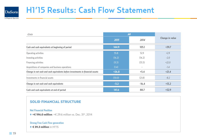

# H1'15 Results: Cash Flow Statement

| E/m/n                                                                          | H1      |         |                        |
|--------------------------------------------------------------------------------|---------|---------|------------------------|
|                                                                                | 2015    | 2014    | <b>Change in value</b> |
| Cash and cash equivalents at beginning of period                               | 144.9   | 105.1   | $+39.7$                |
| Operating activities                                                           | 55.8    | 52.9    | $+2.9$                 |
| Investing activities                                                           | (16.2)  | (14.2)  | $-2.0$                 |
| Financing activities                                                           | (11.3)  | (33.3)  | $+22.0$                |
| Acquisitions of companies and business operations                              | (1.4)   | $\sim$  | $-1.4$                 |
| Change in net cash and cash equivalents before investments in financial assets | $+26.8$ | $+5.4$  | $+21.4$                |
| Investments in financial assets                                                | (30.0)  | (21.8)  | $-8.2$                 |
| Change in net cash and cash equivalents                                        | $-3.2$  | $-16.4$ | $+13.2$                |
| Cash and cash equivalents at end of period                                     | 141.6   | 88.7    | $+52.9$                |

#### Solid financial structure

#### **Net Financial Position**

◆ +€ 196.0 million:  $+ \in 29.6$  million vs. Dec. 31st, 2014

#### **Strong Free Cash Flow generation**

 $\triangleq$  **€ 39.3 million** in H1'15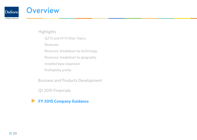

### **Overview**

**Highlights** 

Q2'15 and H1'15 Main Topics

Revenues

Revenues: breakdown by technology

Revenues: breakdown by geography

Installed base expansion

Profitability profile

Business and Products Development

Q1 2015 Financials

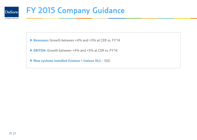

# FY 2015 Company Guidance

**Revenues:** Growth between +4% and +5% at CER vs. FY'14

► **EBITDA:** Growth between +4% and +5% at CFR vs. FY'14

**New systems installed (Liaison + Liaison XL):** ~ 550